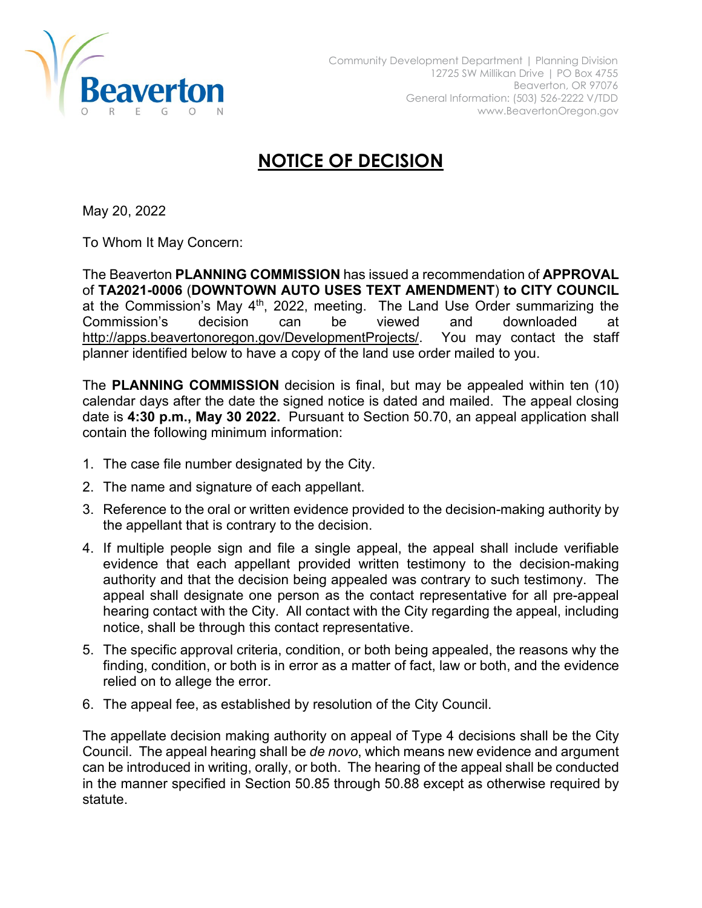

## **NOTICE OF DECISION**

May 20, 2022

To Whom It May Concern:

The Beaverton **PLANNING COMMISSION** has issued a recommendation of **APPROVAL** of **TA2021-0006** (**DOWNTOWN AUTO USES TEXT AMENDMENT**) **to CITY COUNCIL**  at the Commission's May  $4<sup>th</sup>$ , 2022, meeting. The Land Use Order summarizing the Commission's decision can be viewed and downloaded at [http://apps.beavertonoregon.gov/DevelopmentProjects/.](http://apps.beavertonoregon.gov/DevelopmentProjects/) You may contact the staff planner identified below to have a copy of the land use order mailed to you.

The **PLANNING COMMISSION** decision is final, but may be appealed within ten (10) calendar days after the date the signed notice is dated and mailed. The appeal closing date is **4:30 p.m., May 30 2022.** Pursuant to Section 50.70, an appeal application shall contain the following minimum information:

- 1. The case file number designated by the City.
- 2. The name and signature of each appellant.
- 3. Reference to the oral or written evidence provided to the decision-making authority by the appellant that is contrary to the decision.
- 4. If multiple people sign and file a single appeal, the appeal shall include verifiable evidence that each appellant provided written testimony to the decision-making authority and that the decision being appealed was contrary to such testimony. The appeal shall designate one person as the contact representative for all pre-appeal hearing contact with the City. All contact with the City regarding the appeal, including notice, shall be through this contact representative.
- 5. The specific approval criteria, condition, or both being appealed, the reasons why the finding, condition, or both is in error as a matter of fact, law or both, and the evidence relied on to allege the error.
- 6. The appeal fee, as established by resolution of the City Council.

The appellate decision making authority on appeal of Type 4 decisions shall be the City Council. The appeal hearing shall be *de novo*, which means new evidence and argument can be introduced in writing, orally, or both. The hearing of the appeal shall be conducted in the manner specified in Section 50.85 through 50.88 except as otherwise required by statute.